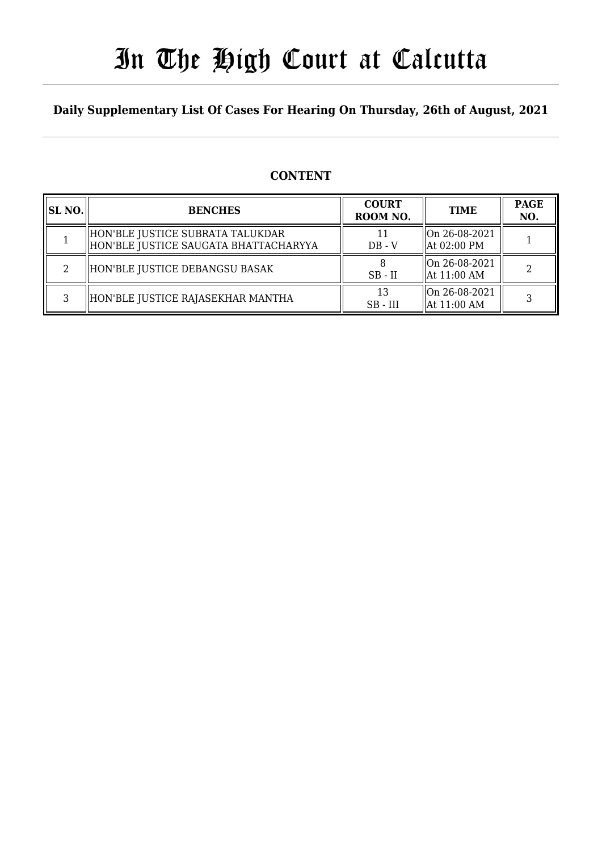# In The High Court at Calcutta

### **Daily Supplementary List Of Cases For Hearing On Thursday, 26th of August, 2021**

### **CONTENT**

| SL NO. | <b>BENCHES</b>                                                            | <b>COURT</b><br>ROOM NO. | <b>TIME</b>                                                   | <b>PAGE</b><br>NO.          |
|--------|---------------------------------------------------------------------------|--------------------------|---------------------------------------------------------------|-----------------------------|
|        | HON'BLE JUSTICE SUBRATA TALUKDAR<br>HON'BLE JUSTICE SAUGATA BHATTACHARYYA | $DB - V$                 | $\sqrt{\text{On } 26 - 08 - 2021}$<br>$\parallel$ At 02:00 PM |                             |
|        | HON'BLE JUSTICE DEBANGSU BASAK                                            | $SB$ - $II$              | $\vert$ On 26-08-2021<br>At 11:00 AM                          | $\mathcal{D}_{\mathcal{L}}$ |
| C.     | HON'BLE JUSTICE RAJASEKHAR MANTHA                                         | 13<br>$SB$ - $III$       | On 26-08-2021<br>$\vert$ At 11:00 AM                          | 3                           |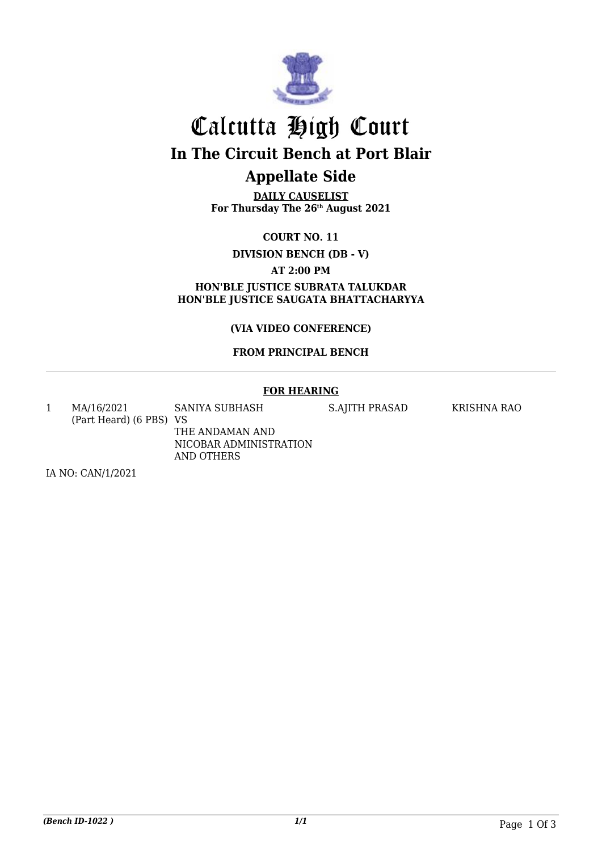

### Calcutta High Court **In The Circuit Bench at Port Blair Appellate Side**

**DAILY CAUSELIST For Thursday The 26th August 2021**

**COURT NO. 11**

**DIVISION BENCH (DB - V)**

**AT 2:00 PM**

**HON'BLE JUSTICE SUBRATA TALUKDAR HON'BLE JUSTICE SAUGATA BHATTACHARYYA**

**(VIA VIDEO CONFERENCE)**

#### **FROM PRINCIPAL BENCH**

#### **FOR HEARING**

1 MA/16/2021 (Part Heard) (6 PBS) VS SANIYA SUBHASH THE ANDAMAN AND NICOBAR ADMINISTRATION AND OTHERS

S.AJITH PRASAD KRISHNA RAO

IA NO: CAN/1/2021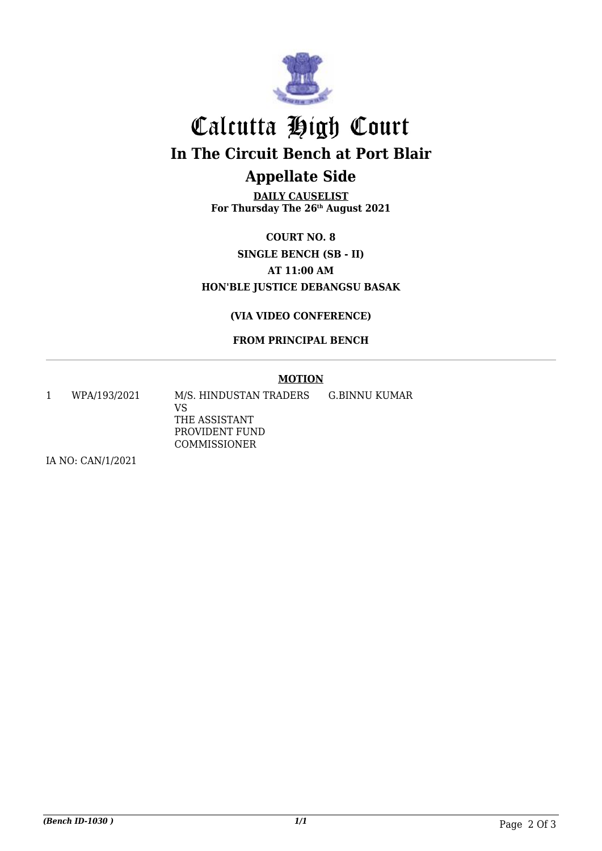

# Calcutta High Court **In The Circuit Bench at Port Blair Appellate Side**

**DAILY CAUSELIST For Thursday The 26th August 2021**

**COURT NO. 8 SINGLE BENCH (SB - II) AT 11:00 AM HON'BLE JUSTICE DEBANGSU BASAK**

#### **(VIA VIDEO CONFERENCE)**

#### **FROM PRINCIPAL BENCH**

#### **MOTION**

1 WPA/193/2021 M/S. HINDUSTAN TRADERS VS G.BINNU KUMAR

THE ASSISTANT PROVIDENT FUND COMMISSIONER

IA NO: CAN/1/2021